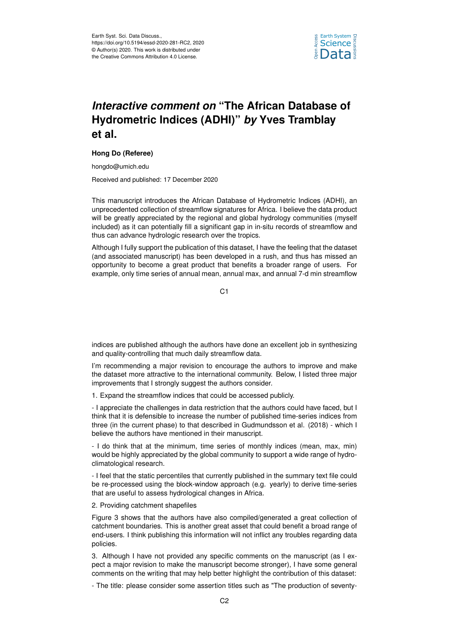

## *Interactive comment on* **"The African Database of Hydrometric Indices (ADHI)"** *by* **Yves Tramblay et al.**

## **Hong Do (Referee)**

hongdo@umich.edu

Received and published: 17 December 2020

This manuscript introduces the African Database of Hydrometric Indices (ADHI), an unprecedented collection of streamflow signatures for Africa. I believe the data product will be greatly appreciated by the regional and global hydrology communities (myself included) as it can potentially fill a significant gap in in-situ records of streamflow and thus can advance hydrologic research over the tropics.

Although I fully support the publication of this dataset, I have the feeling that the dataset (and associated manuscript) has been developed in a rush, and thus has missed an opportunity to become a great product that benefits a broader range of users. For example, only time series of annual mean, annual max, and annual 7-d min streamflow

 $C<sub>1</sub>$ 

indices are published although the authors have done an excellent job in synthesizing and quality-controlling that much daily streamflow data.

I'm recommending a major revision to encourage the authors to improve and make the dataset more attractive to the international community. Below, I listed three major improvements that I strongly suggest the authors consider.

1. Expand the streamflow indices that could be accessed publicly.

- I appreciate the challenges in data restriction that the authors could have faced, but I think that it is defensible to increase the number of published time-series indices from three (in the current phase) to that described in Gudmundsson et al. (2018) - which I believe the authors have mentioned in their manuscript.

- I do think that at the minimum, time series of monthly indices (mean, max, min) would be highly appreciated by the global community to support a wide range of hydroclimatological research.

- I feel that the static percentiles that currently published in the summary text file could be re-processed using the block-window approach (e.g. yearly) to derive time-series that are useful to assess hydrological changes in Africa.

2. Providing catchment shapefiles

Figure 3 shows that the authors have also compiled/generated a great collection of catchment boundaries. This is another great asset that could benefit a broad range of end-users. I think publishing this information will not inflict any troubles regarding data policies.

3. Although I have not provided any specific comments on the manuscript (as I expect a major revision to make the manuscript become stronger), I have some general comments on the writing that may help better highlight the contribution of this dataset:

- The title: please consider some assertion titles such as "The production of seventy-